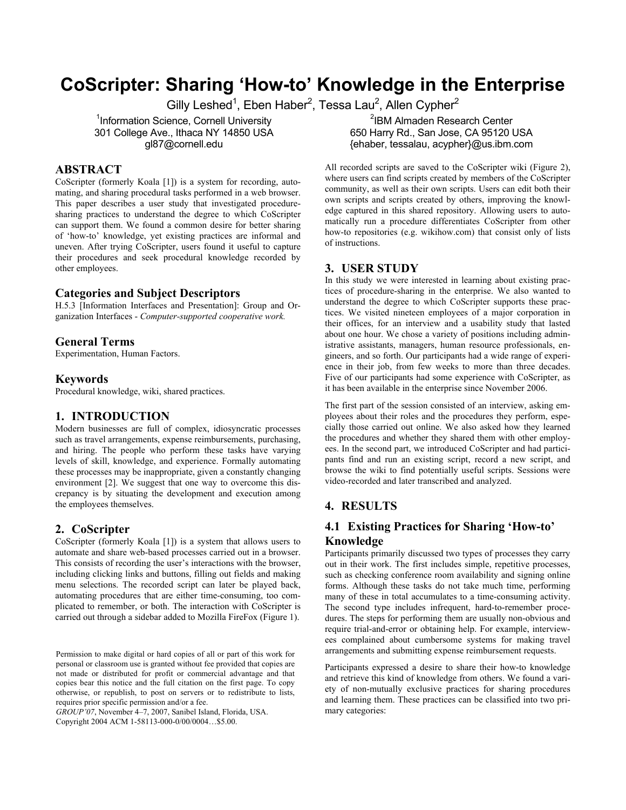# **CoScripter: Sharing 'How-to' Knowledge in the Enterprise**

Gilly Leshed<sup>1</sup>, Eben Haber<sup>2</sup>, Tessa Lau<sup>2</sup>, Allen Cypher<sup>2</sup>

<sup>1</sup>Information Science, Cornell University 301 College Ave., Ithaca NY 14850 USA gl87@cornell.edu

## **ABSTRACT**

CoScripter (formerly Koala [1]) is a system for recording, automating, and sharing procedural tasks performed in a web browser. This paper describes a user study that investigated proceduresharing practices to understand the degree to which CoScripter can support them. We found a common desire for better sharing of 'how-to' knowledge, yet existing practices are informal and uneven. After trying CoScripter, users found it useful to capture their procedures and seek procedural knowledge recorded by other employees.

#### **Categories and Subject Descriptors**

H.5.3 [Information Interfaces and Presentation]: Group and Organization Interfaces - *Computer-supported cooperative work.* 

#### **General Terms**

Experimentation, Human Factors.

#### **Keywords**

Procedural knowledge, wiki, shared practices.

## **1. INTRODUCTION**

Modern businesses are full of complex, idiosyncratic processes such as travel arrangements, expense reimbursements, purchasing, and hiring. The people who perform these tasks have varying levels of skill, knowledge, and experience. Formally automating these processes may be inappropriate, given a constantly changing environment [2]. We suggest that one way to overcome this discrepancy is by situating the development and execution among the employees themselves.

#### **2. CoScripter**

CoScripter (formerly Koala [1]) is a system that allows users to automate and share web-based processes carried out in a browser. This consists of recording the user's interactions with the browser, including clicking links and buttons, filling out fields and making menu selections. The recorded script can later be played back, automating procedures that are either time-consuming, too complicated to remember, or both. The interaction with CoScripter is carried out through a sidebar added to Mozilla FireFox (Figure 1).

*GROUP'07*, November 4–7, 2007, Sanibel Island, Florida, USA. mary categories: Copyright 2004 ACM 1-58113-000-0/00/0004…\$5.00.

2 IBM Almaden Research Center 650 Harry Rd., San Jose, CA 95120 USA {ehaber, tessalau, acypher}@us.ibm.com

All recorded scripts are saved to the CoScripter wiki (Figure 2), where users can find scripts created by members of the CoScripter community, as well as their own scripts. Users can edit both their own scripts and scripts created by others, improving the knowledge captured in this shared repository. Allowing users to automatically run a procedure differentiates CoScripter from other how-to repositories (e.g. wikihow.com) that consist only of lists of instructions.

#### **3. USER STUDY**

In this study we were interested in learning about existing practices of procedure-sharing in the enterprise. We also wanted to understand the degree to which CoScripter supports these practices. We visited nineteen employees of a major corporation in their offices, for an interview and a usability study that lasted about one hour. We chose a variety of positions including administrative assistants, managers, human resource professionals, engineers, and so forth. Our participants had a wide range of experience in their job, from few weeks to more than three decades. Five of our participants had some experience with CoScripter, as it has been available in the enterprise since November 2006.

The first part of the session consisted of an interview, asking employees about their roles and the procedures they perform, especially those carried out online. We also asked how they learned the procedures and whether they shared them with other employees. In the second part, we introduced CoScripter and had participants find and run an existing script, record a new script, and browse the wiki to find potentially useful scripts. Sessions were video-recorded and later transcribed and analyzed.

## **4. RESULTS**

## **4.1 Existing Practices for Sharing 'How-to' Knowledge**

Participants primarily discussed two types of processes they carry out in their work. The first includes simple, repetitive processes, such as checking conference room availability and signing online forms. Although these tasks do not take much time, performing many of these in total accumulates to a time-consuming activity. The second type includes infrequent, hard-to-remember procedures. The steps for performing them are usually non-obvious and require trial-and-error or obtaining help. For example, interviewees complained about cumbersome systems for making travel arrangements and submitting expense reimbursement requests. Permission to make digital or hard copies of all or part of this work for

> Participants expressed a desire to share their how-to knowledge and retrieve this kind of knowledge from others. We found a variety of non-mutually exclusive practices for sharing procedures and learning them. These practices can be classified into two pri-

personal or classroom use is granted without fee provided that copies are not made or distributed for profit or commercial advantage and that copies bear this notice and the full citation on the first page. To copy otherwise, or republish, to post on servers or to redistribute to lists, requires prior specific permission and/or a fee.